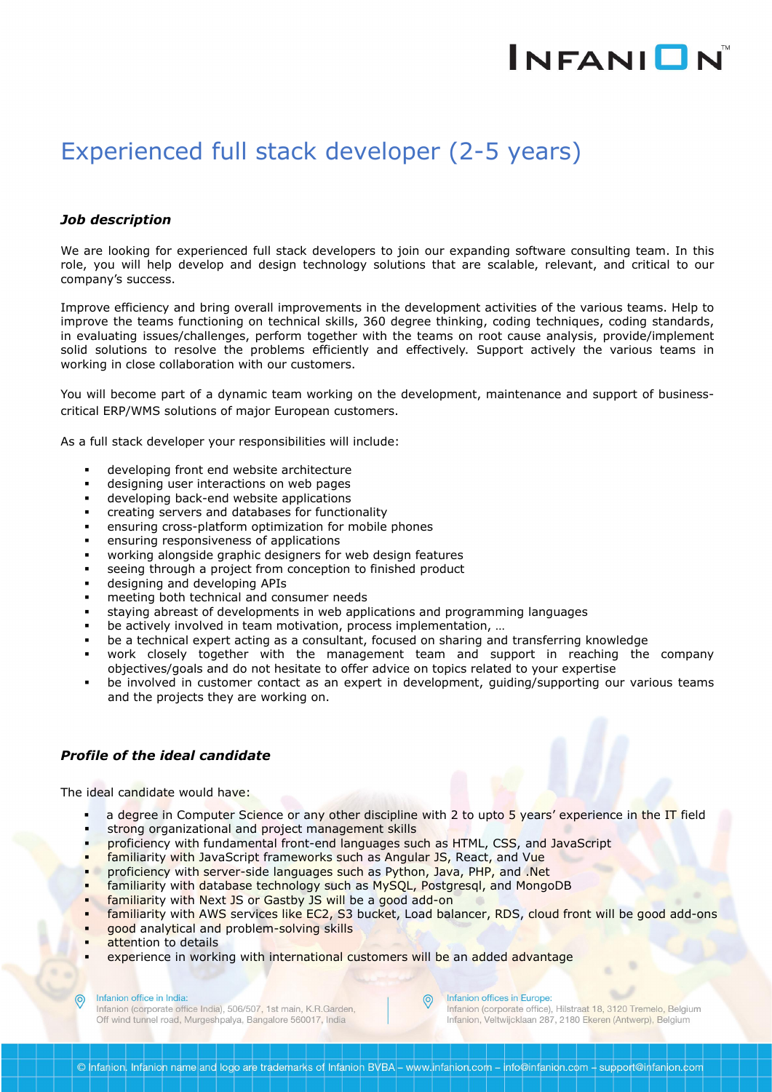# INFANION

## Experienced full stack developer (2-5 years)

### *Job description*

We are looking for experienced full stack developers to join our expanding software consulting team. In this role, you will help develop and design technology solutions that are scalable, relevant, and critical to our company's success.

Improve efficiency and bring overall improvements in the development activities of the various teams. Help to improve the teams functioning on technical skills, 360 degree thinking, coding techniques, coding standards, in evaluating issues/challenges, perform together with the teams on root cause analysis, provide/implement solid solutions to resolve the problems efficiently and effectively. Support actively the various teams in working in close collaboration with our customers.

You will become part of a dynamic team working on the development, maintenance and support of business critical ERP/WMS solutions of major European customers.

As a full stack developer your responsibilities will include:

- developing front end website architecture
- designing user interactions on web pages
- developing back-end website applications
- creating servers and databases for functionality
- ensuring cross-platform optimization for mobile phones
- ensuring responsiveness of applications
- working alongside graphic designers for web design features
- seeing through a project from conception to finished product
- designing and developing APIs
- meeting both technical and consumer needs
- staying abreast of developments in web applications and programming languages
- be actively involved in team motivation, process implementation, …
- be a technical expert acting as a consultant, focused on sharing and transferring knowledge
- work closely together with the management team and support in reaching the company objectives/goals and do not hesitate to offer advice on topics related to your expertise
- be involved in customer contact as an expert in development, guiding/supporting our various teams and the projects they are working on.

#### *Profile of the ideal candidate*

The ideal candidate would have:

- a degree in Computer Science or any other discipline with 2 to upto 5 years' experience in the IT field
- strong organizational and project management skills
- proficiency with fundamental front-end languages such as HTML, CSS, and JavaScript
- familiarity with JavaScript frameworks such as Angular JS, React, and Vue
- proficiency with server-side languages such as Python, Java, PHP, and .Net
- familiarity with database technology such as MySQL, Postgresql, and MongoDB
- familiarity with Next JS or Gastby JS will be a good add-on
- familiarity with AWS services like EC2, S3 bucket, Load balancer, RDS, cloud front will be good add-ons

 $\odot$ 

- good analytical and problem-solving skills
- attention to details
- experience in working with international customers will be an added advantage

Infanion office in India:

Infanion (corporate office India), 506/507, 1st main, K.R.Garden, Off wind tunnel road, Murgeshpalya, Bangalore 560017, India

Infanion offices in Europe:

Infanion (corporate office), Hilstraat 18, 3120 Tremelo, Belgium Infanion, Veltwijcklaan 287, 2180 Ekeren (Antwerp), Belgium